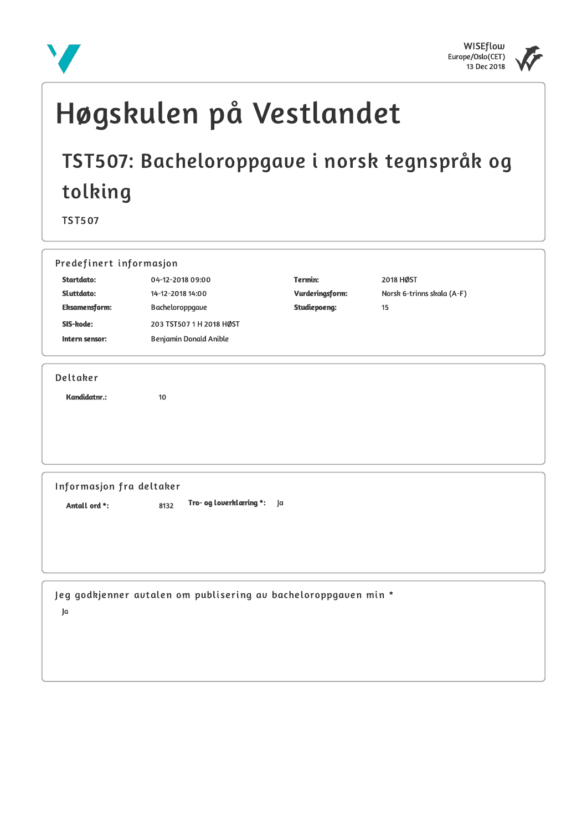



# Høgskulen på Vestlandet

# TST507: Bacheloroppgave i norsk tegnspråk og tolking

**TST507** 

| Startdato:               | Predefinert informasjon                                         |                     |                            |  |
|--------------------------|-----------------------------------------------------------------|---------------------|----------------------------|--|
|                          | 04-12-2018 09:00                                                | Termin:             | 2018 HØST                  |  |
| Sluttdato:               | 14-12-2018 14:00                                                | Vurderingsform:     | Norsk 6-trinns skala (A-F) |  |
| <b>Eksamensform:</b>     | Bacheloroppgave                                                 | <b>Studiepoeng:</b> | 15                         |  |
| SIS-kode:                | 203 TST507 1 H 2018 HØST                                        |                     |                            |  |
| Intern sensor:           | Benjamin Donald Anible                                          |                     |                            |  |
| Deltaker                 |                                                                 |                     |                            |  |
| Kandidatnr.:             | 10                                                              |                     |                            |  |
|                          |                                                                 |                     |                            |  |
|                          |                                                                 |                     |                            |  |
|                          |                                                                 |                     |                            |  |
|                          |                                                                 |                     |                            |  |
| Informasjon fra deltaker |                                                                 |                     |                            |  |
| Antall ord *:            | Tro- og loverklæring *:<br>8132                                 | la                  |                            |  |
|                          |                                                                 |                     |                            |  |
|                          |                                                                 |                     |                            |  |
|                          |                                                                 |                     |                            |  |
|                          |                                                                 |                     |                            |  |
|                          |                                                                 |                     |                            |  |
|                          |                                                                 |                     |                            |  |
|                          | Jeg godkjenner autalen om publisering av bacheloroppgaven min * |                     |                            |  |
| Ja                       |                                                                 |                     |                            |  |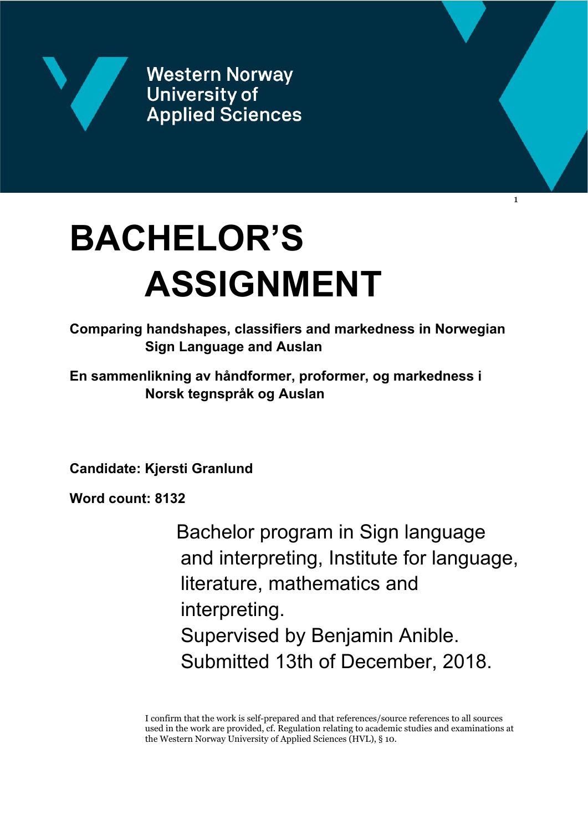

**Western Norway University of Applied Sciences** 

# **BACHELOR'S ASSIGNMENT**

**Comparing handshapes, classifiers and markedness in Norwegian Sign Language and Auslan**

**En sammenlikning av håndformer, proformer, og markedness i Norsk tegnspråk og Auslan**

**Candidate: Kjersti Granlund**

**Word count: 8132**

Bachelor program in Sign language and interpreting, Institute for language, literature, mathematics and interpreting. Supervised by Benjamin Anible. Submitted 13th of December, 2018.

1

I confirm that the work is self-prepared and that references/source references to all sources used in the work are provided, cf. Regulation relating to academic studies and examinations at the Western Norway University of Applied Sciences (HVL), § 10.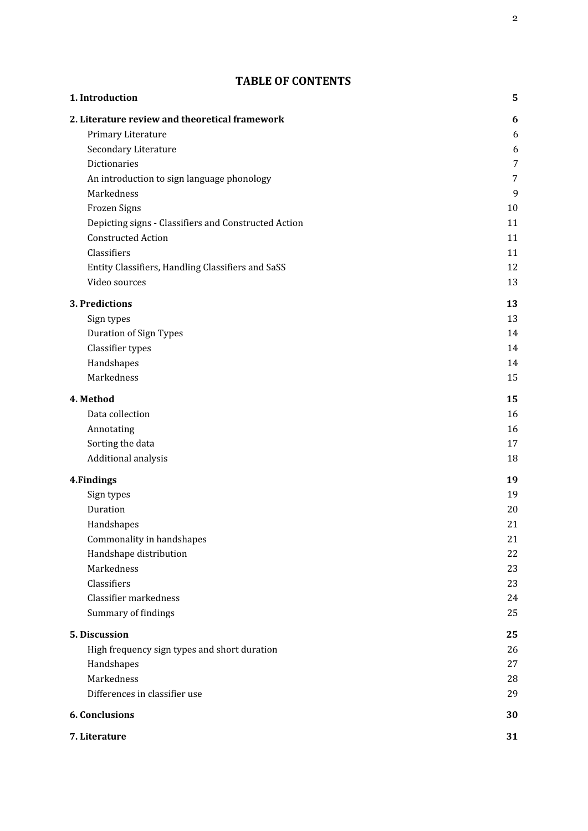# **TABLE OF CONTENTS**

| 1. Introduction                                      | 5              |
|------------------------------------------------------|----------------|
| 2. Literature review and theoretical framework       | 6              |
| Primary Literature                                   | 6              |
| Secondary Literature                                 | 6              |
| Dictionaries                                         | $\overline{7}$ |
| An introduction to sign language phonology           | 7              |
| Markedness                                           | 9              |
| Frozen Signs                                         | 10             |
| Depicting signs - Classifiers and Constructed Action | 11             |
| <b>Constructed Action</b>                            | 11             |
| Classifiers                                          | 11             |
| Entity Classifiers, Handling Classifiers and SaSS    | 12             |
| Video sources                                        | 13             |
| 3. Predictions                                       | 13             |
| Sign types                                           | 13             |
| <b>Duration of Sign Types</b>                        | 14             |
| Classifier types                                     | 14             |
| Handshapes                                           | 14             |
| Markedness                                           | 15             |
| 4. Method                                            | 15             |
| Data collection                                      | 16             |
| Annotating                                           | 16             |
| Sorting the data                                     | 17             |
| Additional analysis                                  | 18             |
| 4. Findings                                          | 19             |
| Sign types                                           | 19             |
| Duration                                             | 20             |
| Handshapes                                           | 21             |
| Commonality in handshapes                            | 21             |
| Handshape distribution                               | 22             |
| Markedness                                           | 23             |
| Classifiers                                          | 23             |
| Classifier markedness                                | 24             |
| Summary of findings                                  | 25             |
| 5. Discussion                                        | 25             |
| High frequency sign types and short duration         | 26             |
| Handshapes                                           | 27             |
| Markedness                                           | 28             |
| Differences in classifier use                        | 29             |
| <b>6. Conclusions</b>                                | 30             |
| 7. Literature                                        | 31             |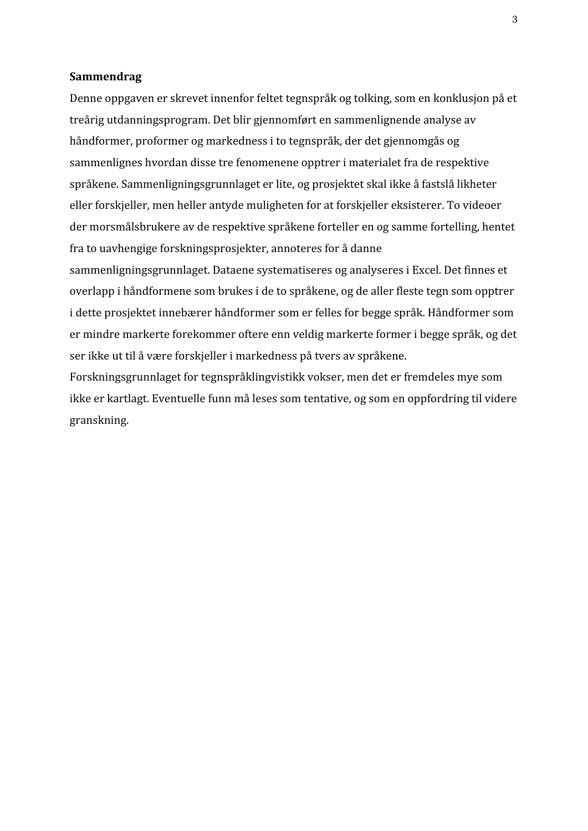#### **Sammendrag**

Denne oppgaven er skrevet innenfor feltet tegnspråk og tolking, som en konklusjon på et treårig utdanningsprogram. Det blir gjennomført en sammenlignende analyse av håndformer, proformer og markedness i to tegnspråk, der det gjennomgås og sammenlignes hvordan disse tre fenomenene opptrer i materialet fra de respektive språkene. Sammenligningsgrunnlaget er lite, og prosjektet skal ikke å fastslå likheter eller forskjeller, men heller antyde muligheten for at forskjeller eksisterer. To videoer der morsmålsbrukere av de respektive språkene forteller en og samme fortelling, hentet fra to uavhengige forskningsprosjekter, annoteres for å danne sammenligningsgrunnlaget. Dataene systematiseres og analyseres i Excel. Det finnes et overlapp i håndformene som brukes i de to språkene, og de aller fleste tegn som opptrer i dette prosjektet innebærer håndformer som er felles for begge språk. Håndformer som er mindre markerte forekommer oftere enn veldig markerte former i begge språk, og det ser ikke ut til å være forskjeller i markedness på tvers av språkene.

Forskningsgrunnlaget for tegnspråklingvistikk vokser, men det er fremdeles mye som ikke er kartlagt. Eventuelle funn må leses som tentative, og som en oppfordring til videre granskning.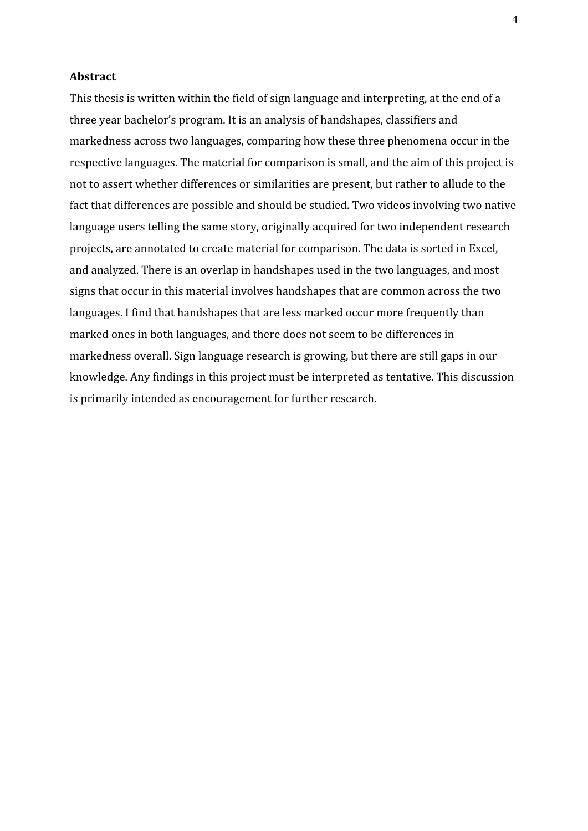#### **Abstract**

This thesis is written within the field of sign language and interpreting, at the end of a three year bachelor's program. It is an analysis of handshapes, classifiers and markedness across two languages, comparing how these three phenomena occur in the respective languages. The material for comparison is small, and the aim of this project is not to assert whether differences or similarities are present, but rather to allude to the fact that differences are possible and should be studied. Two videos involving two native language users telling the same story, originally acquired for two independent research projects, are annotated to create material for comparison. The data is sorted in Excel, and analyzed. There is an overlap in handshapes used in the two languages, and most signs that occur in this material involves handshapes that are common across the two languages. I find that handshapes that are less marked occur more frequently than marked ones in both languages, and there does not seem to be differences in markedness overall. Sign language research is growing, but there are still gaps in our knowledge. Any findings in this project must be interpreted as tentative. This discussion is primarily intended as encouragement for further research.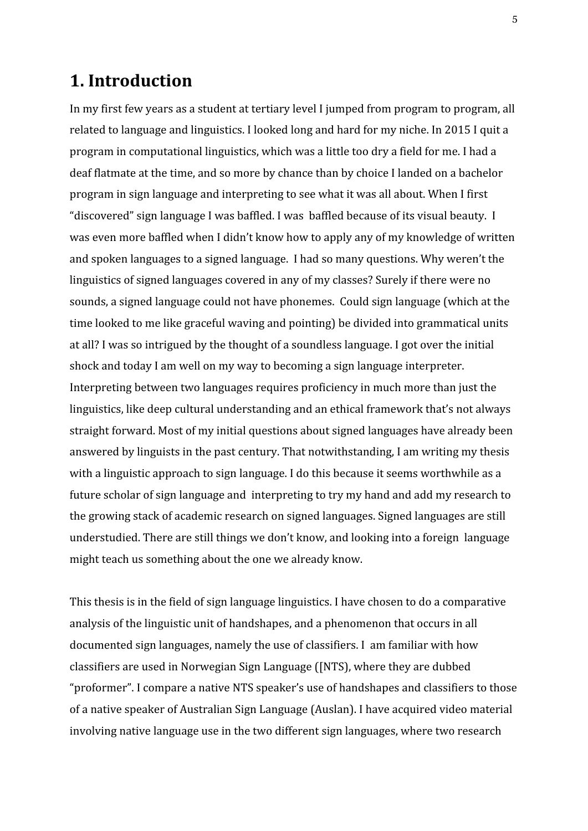# <span id="page-5-0"></span>**1. Introduction**

In my first few years as a student at tertiary level I jumped from program to program, all related to language and linguistics. I looked long and hard for my niche. In 2015 I quit a program in computational linguistics, which was a little too dry a field for me. I had a deaf flatmate at the time, and so more by chance than by choice I landed on a bachelor program in sign language and interpreting to see what it was all about. When I first "discovered" sign language I was baffled. I was baffled because of its visual beauty. I was even more baffled when I didn't know how to apply any of my knowledge of written and spoken languages to a signed language. I had so many questions. Why weren't the linguistics of signed languages covered in any of my classes? Surely if there were no sounds, a signed language could not have phonemes. Could sign language (which at the time looked to me like graceful waving and pointing) be divided into grammatical units at all? I was so intrigued by the thought of a soundless language. I got over the initial shock and today I am well on my way to becoming a sign language interpreter. Interpreting between two languages requires proficiency in much more than just the linguistics, like deep cultural understanding and an ethical framework that's not always straight forward. Most of my initial questions about signed languages have already been answered by linguists in the past century. That notwithstanding, I am writing my thesis with a linguistic approach to sign language. I do this because it seems worthwhile as a future scholar of sign language and interpreting to try my hand and add my research to the growing stack of academic research on signed languages. Signed languages are still understudied. There are still things we don't know, and looking into a foreign language might teach us something about the one we already know.

This thesis is in the field of sign language linguistics. I have chosen to do a comparative analysis of the linguistic unit of handshapes, and a phenomenon that occurs in all documented sign languages, namely the use of classifiers. I am familiar with how classifiers are used in Norwegian Sign Language ([NTS), where they are dubbed "proformer". I compare a native NTS speaker's use of handshapes and classifiers to those of a native speaker of Australian Sign Language (Auslan). I have acquired video material involving native language use in the two different sign languages, where two research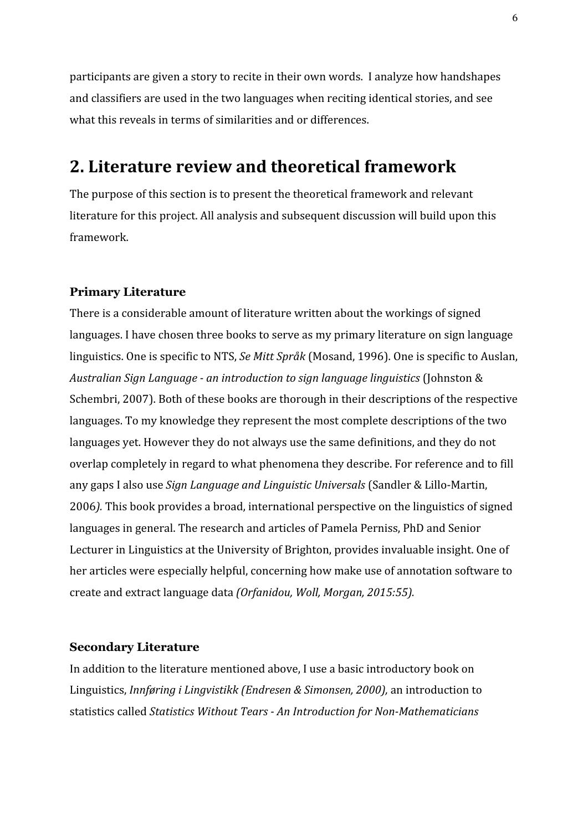participants are given a story to recite in their own words. I analyze how handshapes and classifiers are used in the two languages when reciting identical stories, and see what this reveals in terms of similarities and or differences.

# <span id="page-6-0"></span>**2. Literature review and theoretical framework**

The purpose of this section is to present the theoretical framework and relevant literature for this project. All analysis and subsequent discussion will build upon this framework.

# <span id="page-6-1"></span>**Primary Literature**

There is a considerable amount of literature written about the workings of signed languages. I have chosen three books to serve as my primary literature on sign language linguistics. One is specific to NTS, *Se Mitt Språk* (Mosand, 1996). One is specific to Auslan, *Australian Sign Language - an introduction to sign language linguistics* (Johnston & Schembri, 2007). Both of these books are thorough in their descriptions of the respective languages. To my knowledge they represent the most complete descriptions of the two languages yet. However they do not always use the same definitions, and they do not overlap completely in regard to what phenomena they describe. For reference and to fill any gaps I also use *Sign Language and Linguistic Universals* (Sandler & Lillo-Martin, 2006*).* This book provides a broad, international perspective on the linguistics of signed languages in general. The research and articles of Pamela Perniss, PhD and Senior Lecturer in Linguistics at the University of Brighton, provides invaluable insight. One of her articles were especially helpful, concerning how make use of annotation software to create and extract language data *(Orfanidou, Woll, Morgan, 2015:55).*

### <span id="page-6-2"></span>**Secondary Literature**

In addition to the literature mentioned above, I use a basic introductory book on Linguistics, *Innføring i Lingvistikk (Endresen & Simonsen, 2000),* an introduction to statistics called *Statistics Without Tears - An Introduction for Non-Mathematicians*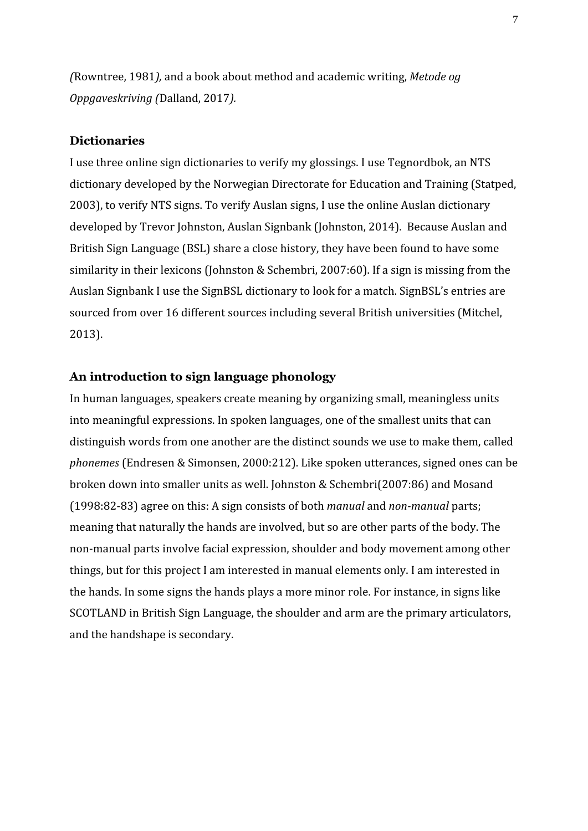*(*Rowntree, 1981*),* and a book about method and academic writing, *Metode og Oppgaveskriving (*Dalland, 2017*).*

# <span id="page-7-0"></span>**Dictionaries**

I use three online sign dictionaries to verify my glossings. I use Tegnordbok, an NTS dictionary developed by the Norwegian Directorate for Education and Training (Statped, 2003), to verify NTS signs. To verify Auslan signs, I use the online Auslan dictionary developed by Trevor Johnston, Auslan Signbank (Johnston, 2014). Because Auslan and British Sign Language (BSL) share a close history, they have been found to have some similarity in their lexicons (Johnston & Schembri, 2007:60). If a sign is missing from the Auslan Signbank I use the SignBSL dictionary to look for a match. SignBSL's entries are sourced from over 16 different sources including several British universities (Mitchel, 2013).

# <span id="page-7-1"></span>**An introduction to sign language phonology**

In human languages, speakers create meaning by organizing small, meaningless units into meaningful expressions. In spoken languages, one of the smallest units that can distinguish words from one another are the distinct sounds we use to make them, called *phonemes* (Endresen & Simonsen, 2000:212). Like spoken utterances, signed ones can be broken down into smaller units as well. Johnston & Schembri(2007:86) and Mosand (1998:82-83) agree on this: A sign consists of both *manual* and *non-manual* parts; meaning that naturally the hands are involved, but so are other parts of the body. The non-manual parts involve facial expression, shoulder and body movement among other things, but for this project I am interested in manual elements only. I am interested in the hands. In some signs the hands plays a more minor role. For instance, in signs like SCOTLAND in British Sign Language, the shoulder and arm are the primary articulators, and the handshape is secondary.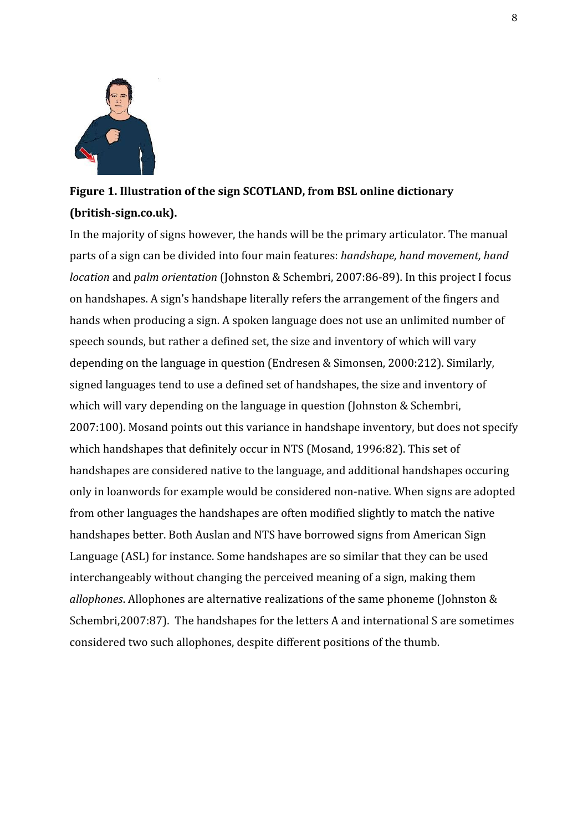

# **Figure 1. Illustration of the sign SCOTLAND, from BSL online dictionary (british-sign.co.uk).**

In the majority of signs however, the hands will be the primary articulator. The manual parts of a sign can be divided into four main features: *handshape, hand movement, hand location* and *palm orientation* (Johnston & Schembri, 2007:86-89). In this project I focus on handshapes. A sign's handshape literally refers the arrangement of the fingers and hands when producing a sign. A spoken language does not use an unlimited number of speech sounds, but rather a defined set, the size and inventory of which will vary depending on the language in question (Endresen & Simonsen, 2000:212). Similarly, signed languages tend to use a defined set of handshapes, the size and inventory of which will vary depending on the language in question (Johnston & Schembri, 2007:100). Mosand points out this variance in handshape inventory, but does not specify which handshapes that definitely occur in NTS (Mosand, 1996:82). This set of handshapes are considered native to the language, and additional handshapes occuring only in loanwords for example would be considered non-native. When signs are adopted from other languages the handshapes are often modified slightly to match the native handshapes better. Both Auslan and NTS have borrowed signs from American Sign Language (ASL) for instance. Some handshapes are so similar that they can be used interchangeably without changing the perceived meaning of a sign, making them *allophones*. Allophones are alternative realizations of the same phoneme (Johnston & Schembri,2007:87). The handshapes for the letters A and international S are sometimes considered two such allophones, despite different positions of the thumb.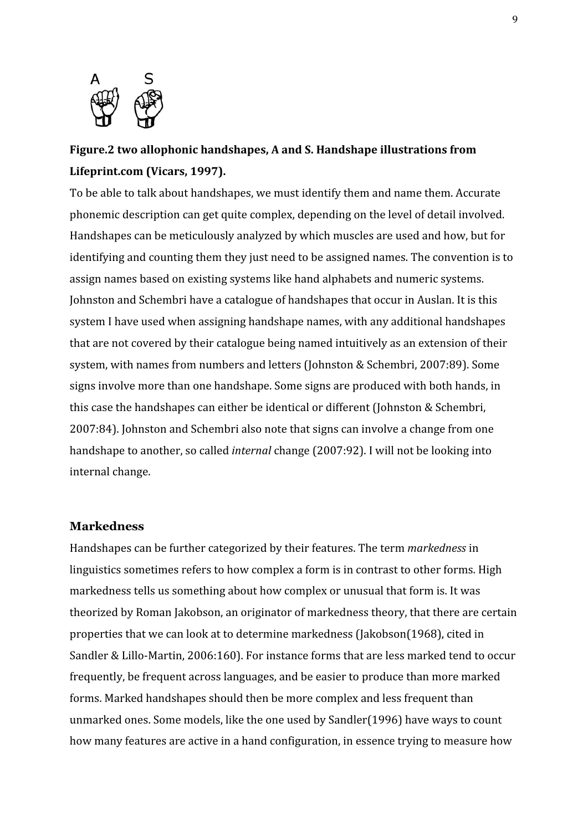

# **Figure.2 two allophonic handshapes, A and S. Handshape illustrations from Lifeprint.com (Vicars, 1997).**

To be able to talk about handshapes, we must identify them and name them. Accurate phonemic description can get quite complex, depending on the level of detail involved. Handshapes can be meticulously analyzed by which muscles are used and how, but for identifying and counting them they just need to be assigned names. The convention is to assign names based on existing systems like hand alphabets and numeric systems. Johnston and Schembri have a catalogue of handshapes that occur in Auslan. It is this system I have used when assigning handshape names, with any additional handshapes that are not covered by their catalogue being named intuitively as an extension of their system, with names from numbers and letters (Johnston & Schembri, 2007:89). Some signs involve more than one handshape. Some signs are produced with both hands, in this case the handshapes can either be identical or different (Johnston & Schembri, 2007:84). Johnston and Schembri also note that signs can involve a change from one handshape to another, so called *internal* change (2007:92). I will not be looking into internal change.

### <span id="page-9-0"></span>**Markedness**

Handshapes can be further categorized by their features. The term *markedness* in linguistics sometimes refers to how complex a form is in contrast to other forms. High markedness tells us something about how complex or unusual that form is. It was theorized by Roman Jakobson, an originator of markedness theory, that there are certain properties that we can look at to determine markedness (Jakobson(1968), cited in Sandler & Lillo-Martin, 2006:160). For instance forms that are less marked tend to occur frequently, be frequent across languages, and be easier to produce than more marked forms. Marked handshapes should then be more complex and less frequent than unmarked ones. Some models, like the one used by Sandler(1996) have ways to count how many features are active in a hand configuration, in essence trying to measure how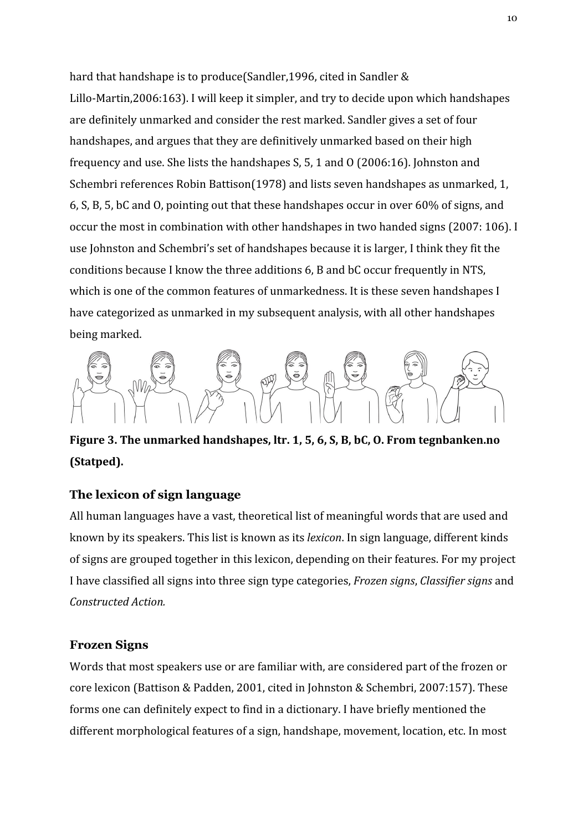hard that handshape is to produce(Sandler,1996, cited in Sandler & Lillo-Martin,2006:163). I will keep it simpler, and try to decide upon which handshapes are definitely unmarked and consider the rest marked. Sandler gives a set of four handshapes, and argues that they are definitively unmarked based on their high frequency and use. She lists the handshapes S, 5, 1 and O (2006:16). Johnston and Schembri references Robin Battison(1978) and lists seven handshapes as unmarked, 1, 6, S, B, 5, bC and O, pointing out that these handshapes occur in over 60% of signs, and occur the most in combination with other handshapes in two handed signs (2007: 106). I use Johnston and Schembri's set of handshapes because it is larger, I think they fit the conditions because I know the three additions 6, B and bC occur frequently in NTS, which is one of the common features of unmarkedness. It is these seven handshapes I have categorized as unmarked in my subsequent analysis, with all other handshapes being marked.



**Figure 3. The unmarked handshapes, ltr. 1, 5, 6, S, B, bC, O. From tegnbanken.no (Statped).**

# **The lexicon of sign language**

All human languages have a vast, theoretical list of meaningful words that are used and known by its speakers. This list is known as its *lexicon*. In sign language, different kinds of signs are grouped together in this lexicon, depending on their features. For my project I have classified all signs into three sign type categories, *Frozen signs*, *Classifier signs* and *Constructed Action.*

# <span id="page-10-0"></span>**Frozen Signs**

Words that most speakers use or are familiar with, are considered part of the frozen or core lexicon (Battison & Padden, 2001, cited in Johnston & Schembri, 2007:157). These forms one can definitely expect to find in a dictionary. I have briefly mentioned the different morphological features of a sign, handshape, movement, location, etc. In most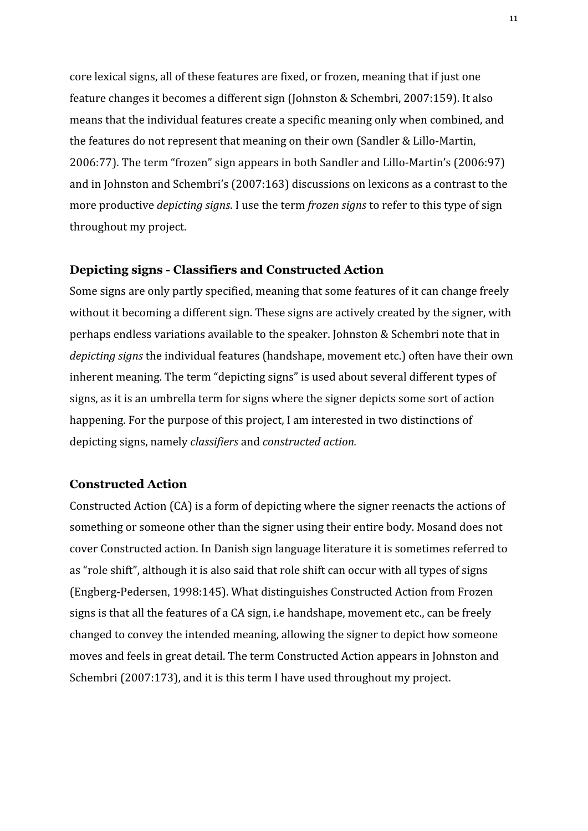core lexical signs, all of these features are fixed, or frozen, meaning that if just one feature changes it becomes a different sign (Johnston & Schembri, 2007:159). It also means that the individual features create a specific meaning only when combined, and the features do not represent that meaning on their own (Sandler & Lillo-Martin, 2006:77). The term "frozen" sign appears in both Sandler and Lillo-Martin's (2006:97) and in Johnston and Schembri's (2007:163) discussions on lexicons as a contrast to the more productive *depicting signs*. I use the term *frozen signs* to refer to this type of sign throughout my project.

# <span id="page-11-0"></span>**Depicting signs - Classifiers and Constructed Action**

Some signs are only partly specified, meaning that some features of it can change freely without it becoming a different sign. These signs are actively created by the signer, with perhaps endless variations available to the speaker. Johnston & Schembri note that in *depicting signs* the individual features (handshape, movement etc.) often have their own inherent meaning. The term "depicting signs" is used about several different types of signs, as it is an umbrella term for signs where the signer depicts some sort of action happening. For the purpose of this project, I am interested in two distinctions of depicting signs, namely *classifiers* and *constructed action.*

### <span id="page-11-1"></span>**Constructed Action**

Constructed Action (CA) is a form of depicting where the signer reenacts the actions of something or someone other than the signer using their entire body. Mosand does not cover Constructed action. In Danish sign language literature it is sometimes referred to as "role shift", although it is also said that role shift can occur with all types of signs (Engberg-Pedersen, 1998:145). What distinguishes Constructed Action from Frozen signs is that all the features of a CA sign, i.e handshape, movement etc., can be freely changed to convey the intended meaning, allowing the signer to depict how someone moves and feels in great detail. The term Constructed Action appears in Johnston and Schembri (2007:173), and it is this term I have used throughout my project.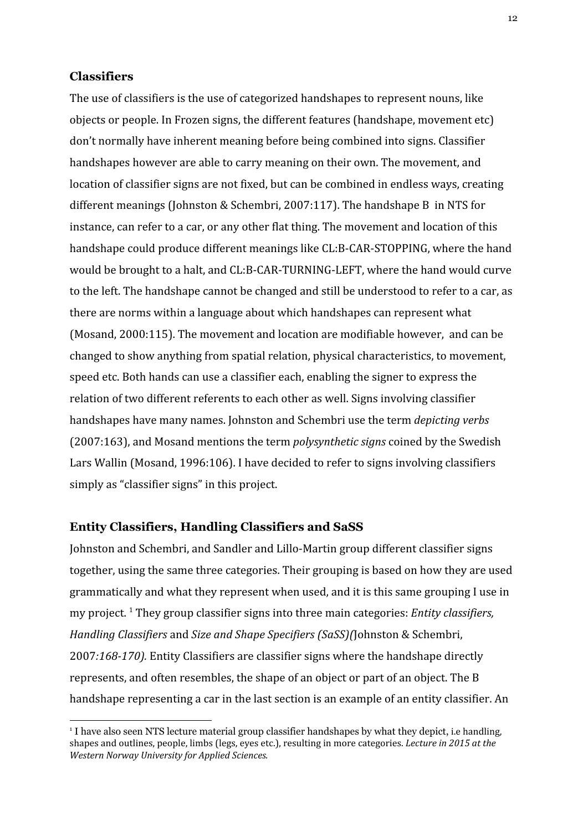# <span id="page-12-0"></span>**Classifiers**

The use of classifiers is the use of categorized handshapes to represent nouns, like objects or people. In Frozen signs, the different features (handshape, movement etc) don't normally have inherent meaning before being combined into signs. Classifier handshapes however are able to carry meaning on their own. The movement, and location of classifier signs are not fixed, but can be combined in endless ways, creating different meanings (Johnston & Schembri, 2007:117). The handshape B in NTS for instance, can refer to a car, or any other flat thing. The movement and location of this handshape could produce different meanings like CL:B-CAR-STOPPING, where the hand would be brought to a halt, and CL:B-CAR-TURNING-LEFT, where the hand would curve to the left. The handshape cannot be changed and still be understood to refer to a car, as there are norms within a language about which handshapes can represent what (Mosand, 2000:115). The movement and location are modifiable however, and can be changed to show anything from spatial relation, physical characteristics, to movement, speed etc. Both hands can use a classifier each, enabling the signer to express the relation of two different referents to each other as well. Signs involving classifier handshapes have many names. Johnston and Schembri use the term *depicting verbs* (2007:163), and Mosand mentions the term *polysynthetic signs* coined by the Swedish Lars Wallin (Mosand, 1996:106). I have decided to refer to signs involving classifiers simply as "classifier signs" in this project.

#### <span id="page-12-1"></span>**Entity Classifiers, Handling Classifiers and SaSS**

Johnston and Schembri, and Sandler and Lillo-Martin group different classifier signs together, using the same three categories. Their grouping is based on how they are used grammatically and what they represent when used, and it is this same grouping I use in my project. <sup>1</sup> They group classifier signs into three main categories: *Entity classifiers*, *Handling Classifiers* and *Size and Shape Specifiers (SaSS)(*Johnston & Schembri, 2007*:168-170).* Entity Classifiers are classifier signs where the handshape directly represents, and often resembles, the shape of an object or part of an object. The B handshape representing a car in the last section is an example of an entity classifier. An

<sup>&</sup>lt;sup>1</sup> I have also seen NTS lecture material group classifier handshapes by what they depict, i.e handling, shapes and outlines, people, limbs (legs, eyes etc.), resulting in more categories. *Lecture in 2015 at the Western Norway University for Applied Sciences.*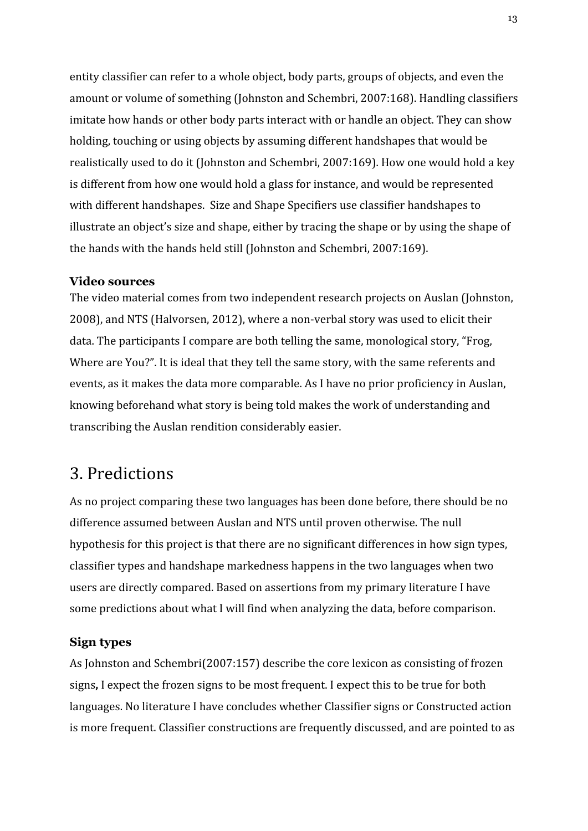entity classifier can refer to a whole object, body parts, groups of objects, and even the amount or volume of something (Johnston and Schembri, 2007:168). Handling classifiers imitate how hands or other body parts interact with or handle an object. They can show holding, touching or using objects by assuming different handshapes that would be realistically used to do it (Johnston and Schembri, 2007:169). How one would hold a key is different from how one would hold a glass for instance, and would be represented with different handshapes. Size and Shape Specifiers use classifier handshapes to illustrate an object's size and shape, either by tracing the shape or by using the shape of the hands with the hands held still (Johnston and Schembri, 2007:169).

#### <span id="page-13-0"></span>**Video sources**

The video material comes from two independent research projects on Auslan (Johnston, 2008), and NTS (Halvorsen, 2012), where a non-verbal story was used to elicit their data. The participants I compare are both telling the same, monological story, "Frog, Where are You?". It is ideal that they tell the same story, with the same referents and events, as it makes the data more comparable. As I have no prior proficiency in Auslan, knowing beforehand what story is being told makes the work of understanding and transcribing the Auslan rendition considerably easier.

# <span id="page-13-1"></span>3. Predictions

As no project comparing these two languages has been done before, there should be no difference assumed between Auslan and NTS until proven otherwise. The null hypothesis for this project is that there are no significant differences in how sign types, classifier types and handshape markedness happens in the two languages when two users are directly compared. Based on assertions from my primary literature I have some predictions about what I will find when analyzing the data, before comparison.

### <span id="page-13-2"></span>**Sign types**

As Johnston and Schembri(2007:157) describe the core lexicon as consisting of frozen signs**,** I expect the frozen signs to be most frequent. I expect this to be true for both languages. No literature I have concludes whether Classifier signs or Constructed action is more frequent. Classifier constructions are frequently discussed, and are pointed to as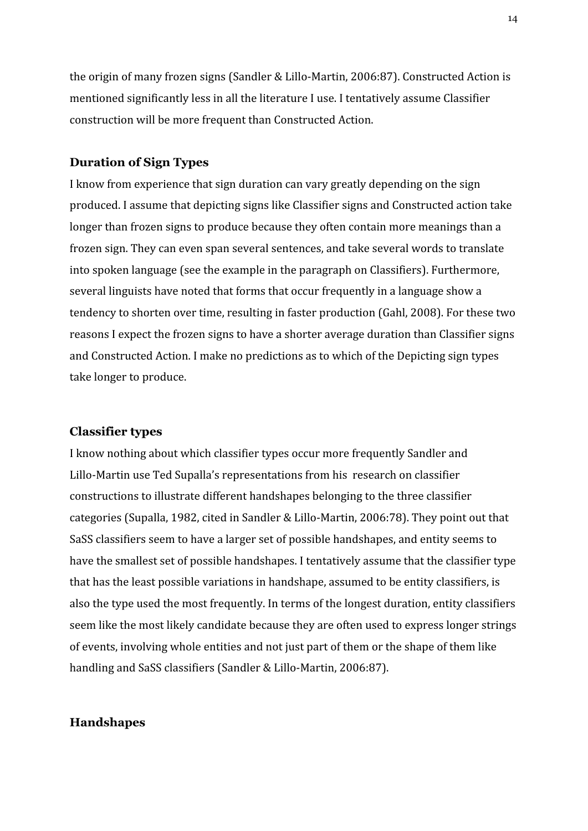the origin of many frozen signs (Sandler & Lillo-Martin, 2006:87). Constructed Action is mentioned significantly less in all the literature I use. I tentatively assume Classifier construction will be more frequent than Constructed Action.

# <span id="page-14-0"></span>**Duration of Sign Types**

I know from experience that sign duration can vary greatly depending on the sign produced. I assume that depicting signs like Classifier signs and Constructed action take longer than frozen signs to produce because they often contain more meanings than a frozen sign. They can even span several sentences, and take several words to translate into spoken language (see the example in the paragraph on Classifiers). Furthermore, several linguists have noted that forms that occur frequently in a language show a tendency to shorten over time, resulting in faster production (Gahl, 2008). For these two reasons I expect the frozen signs to have a shorter average duration than Classifier signs and Constructed Action. I make no predictions as to which of the Depicting sign types take longer to produce.

### <span id="page-14-1"></span>**Classifier types**

I know nothing about which classifier types occur more frequently Sandler and Lillo-Martin use Ted Supalla's representations from his research on classifier constructions to illustrate different handshapes belonging to the three classifier categories (Supalla, 1982, cited in Sandler & Lillo-Martin, 2006:78). They point out that SaSS classifiers seem to have a larger set of possible handshapes, and entity seems to have the smallest set of possible handshapes. I tentatively assume that the classifier type that has the least possible variations in handshape, assumed to be entity classifiers, is also the type used the most frequently. In terms of the longest duration, entity classifiers seem like the most likely candidate because they are often used to express longer strings of events, involving whole entities and not just part of them or the shape of them like handling and SaSS classifiers (Sandler & Lillo-Martin, 2006:87).

### <span id="page-14-2"></span>**Handshapes**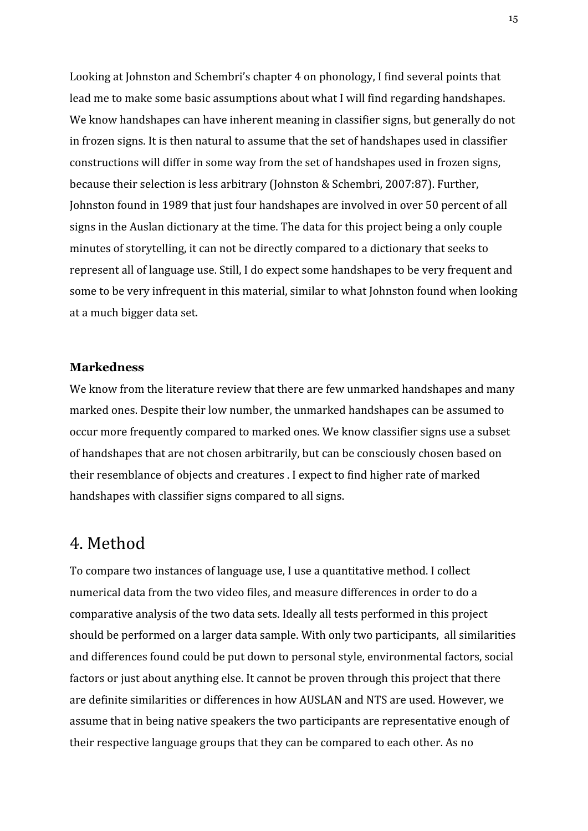Looking at Johnston and Schembri's chapter 4 on phonology, I find several points that lead me to make some basic assumptions about what I will find regarding handshapes. We know handshapes can have inherent meaning in classifier signs, but generally do not in frozen signs. It is then natural to assume that the set of handshapes used in classifier constructions will differ in some way from the set of handshapes used in frozen signs, because their selection is less arbitrary (Johnston & Schembri, 2007:87). Further, Johnston found in 1989 that just four handshapes are involved in over 50 percent of all signs in the Auslan dictionary at the time. The data for this project being a only couple minutes of storytelling, it can not be directly compared to a dictionary that seeks to represent all of language use. Still, I do expect some handshapes to be very frequent and some to be very infrequent in this material, similar to what Johnston found when looking at a much bigger data set.

# <span id="page-15-0"></span>**Markedness**

We know from the literature review that there are few unmarked handshapes and many marked ones. Despite their low number, the unmarked handshapes can be assumed to occur more frequently compared to marked ones. We know classifier signs use a subset of handshapes that are not chosen arbitrarily, but can be consciously chosen based on their resemblance of objects and creatures . I expect to find higher rate of marked handshapes with classifier signs compared to all signs.

# <span id="page-15-1"></span>4. Method

To compare two instances of language use, I use a quantitative method. I collect numerical data from the two video files, and measure differences in order to do a comparative analysis of the two data sets. Ideally all tests performed in this project should be performed on a larger data sample. With only two participants, all similarities and differences found could be put down to personal style, environmental factors, social factors or just about anything else. It cannot be proven through this project that there are definite similarities or differences in how AUSLAN and NTS are used. However, we assume that in being native speakers the two participants are representative enough of their respective language groups that they can be compared to each other. As no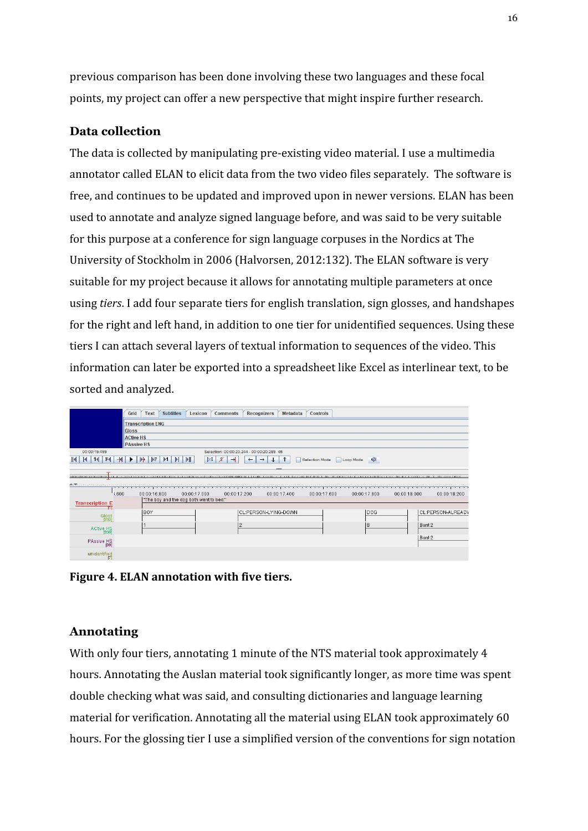previous comparison has been done involving these two languages and these focal points, my project can offer a new perspective that might inspire further research.

# <span id="page-16-0"></span>**Data collection**

The data is collected by manipulating pre-existing video material. I use a multimedia annotator called ELAN to elicit data from the two video files separately. The software is free, and continues to be updated and improved upon in newer versions. ELAN has been used to annotate and analyze signed language before, and was said to be very suitable for this purpose at a conference for sign language corpuses in the Nordics at The University of Stockholm in 2006 (Halvorsen, 2012:132). The ELAN software is very suitable for my project because it allows for annotating multiple parameters at once using *tiers*. I add four separate tiers for english translation, sign glosses, and handshapes for the right and left hand, in addition to one tier for unidentified sequences. Using these tiers I can attach several layers of textual information to sequences of the video. This information can later be exported into a spreadsheet like Excel as interlinear text, to be sorted and analyzed.



**Figure 4. ELAN annotation with five tiers.**

# <span id="page-16-1"></span>**Annotating**

With only four tiers, annotating 1 minute of the NTS material took approximately 4 hours. Annotating the Auslan material took significantly longer, as more time was spent double checking what was said, and consulting dictionaries and language learning material for verification. Annotating all the material using ELAN took approximately 60 hours. For the glossing tier I use a simplified version of the conventions for sign notation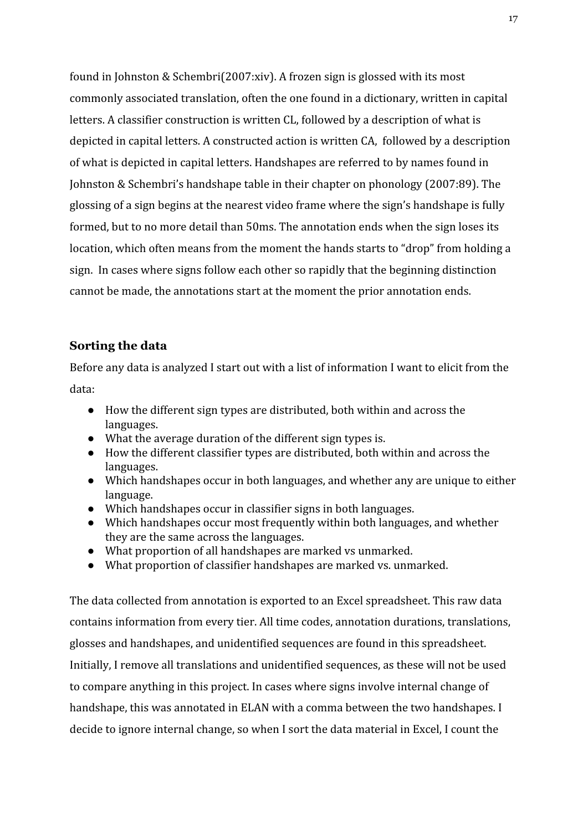found in Johnston & Schembri(2007:xiv). A frozen sign is glossed with its most commonly associated translation, often the one found in a dictionary, written in capital letters. A classifier construction is written CL, followed by a description of what is depicted in capital letters. A constructed action is written CA, followed by a description of what is depicted in capital letters. Handshapes are referred to by names found in Johnston & Schembri's handshape table in their chapter on phonology (2007:89). The glossing of a sign begins at the nearest video frame where the sign's handshape is fully formed, but to no more detail than 50ms. The annotation ends when the sign loses its location, which often means from the moment the hands starts to "drop" from holding a sign. In cases where signs follow each other so rapidly that the beginning distinction cannot be made, the annotations start at the moment the prior annotation ends.

# <span id="page-17-0"></span>**Sorting the data**

Before any data is analyzed I start out with a list of information I want to elicit from the data:

- How the different sign types are distributed, both within and across the languages.
- What the average duration of the different sign types is.
- How the different classifier types are distributed, both within and across the languages.
- Which handshapes occur in both languages, and whether any are unique to either language.
- Which handshapes occur in classifier signs in both languages.
- Which handshapes occur most frequently within both languages, and whether they are the same across the languages.
- What proportion of all handshapes are marked vs unmarked.
- What proportion of classifier handshapes are marked vs. unmarked.

The data collected from annotation is exported to an Excel spreadsheet. This raw data contains information from every tier. All time codes, annotation durations, translations, glosses and handshapes, and unidentified sequences are found in this spreadsheet. Initially, I remove all translations and unidentified sequences, as these will not be used to compare anything in this project. In cases where signs involve internal change of handshape, this was annotated in ELAN with a comma between the two handshapes. I decide to ignore internal change, so when I sort the data material in Excel, I count the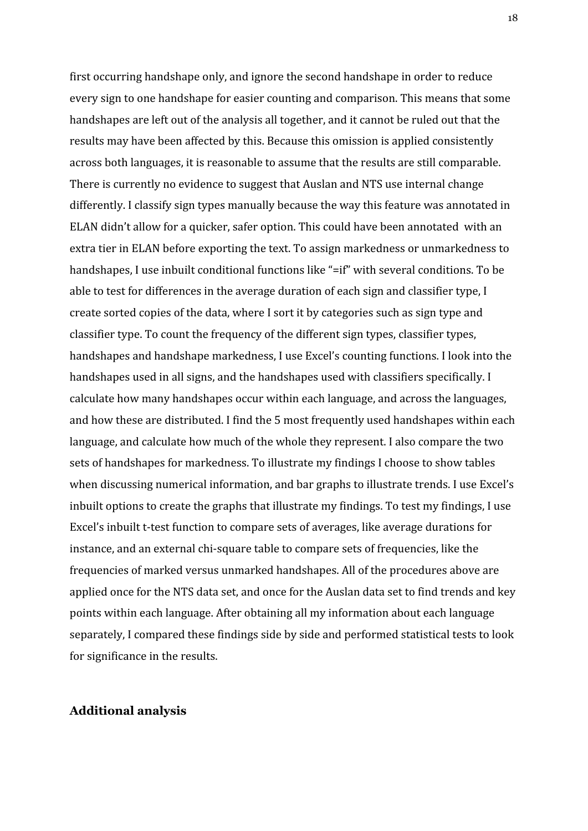first occurring handshape only, and ignore the second handshape in order to reduce every sign to one handshape for easier counting and comparison. This means that some handshapes are left out of the analysis all together, and it cannot be ruled out that the results may have been affected by this. Because this omission is applied consistently across both languages, it is reasonable to assume that the results are still comparable. There is currently no evidence to suggest that Auslan and NTS use internal change differently. I classify sign types manually because the way this feature was annotated in ELAN didn't allow for a quicker, safer option. This could have been annotated with an extra tier in ELAN before exporting the text. To assign markedness or unmarkedness to handshapes, I use inbuilt conditional functions like "=if" with several conditions. To be able to test for differences in the average duration of each sign and classifier type, I create sorted copies of the data, where I sort it by categories such as sign type and classifier type. To count the frequency of the different sign types, classifier types, handshapes and handshape markedness, I use Excel's counting functions. I look into the handshapes used in all signs, and the handshapes used with classifiers specifically. I calculate how many handshapes occur within each language, and across the languages, and how these are distributed. I find the 5 most frequently used handshapes within each language, and calculate how much of the whole they represent. I also compare the two sets of handshapes for markedness. To illustrate my findings I choose to show tables when discussing numerical information, and bar graphs to illustrate trends. I use Excel's inbuilt options to create the graphs that illustrate my findings. To test my findings, I use Excel's inbuilt t-test function to compare sets of averages, like average durations for instance, and an external chi-square table to compare sets of frequencies, like the frequencies of marked versus unmarked handshapes. All of the procedures above are applied once for the NTS data set, and once for the Auslan data set to find trends and key points within each language. After obtaining all my information about each language separately, I compared these findings side by side and performed statistical tests to look for significance in the results.

# <span id="page-18-0"></span>**Additional analysis**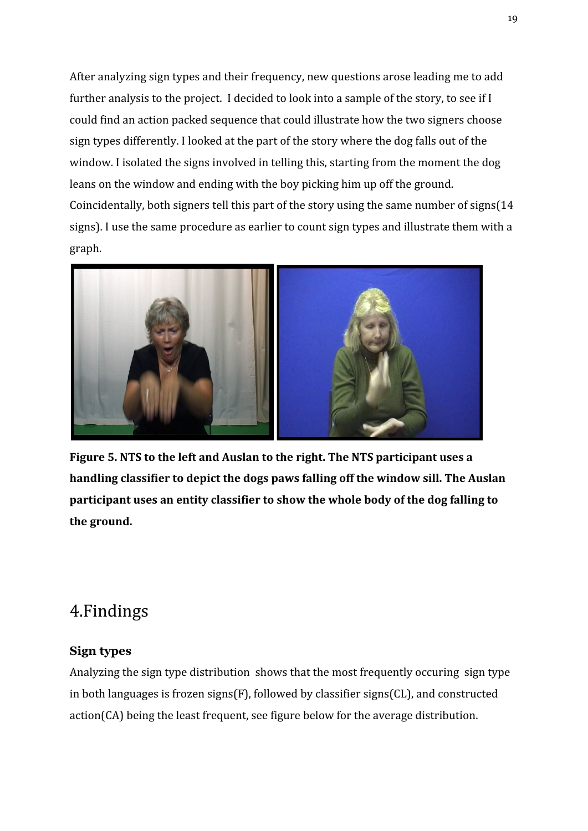After analyzing sign types and their frequency, new questions arose leading me to add further analysis to the project. I decided to look into a sample of the story, to see if I could find an action packed sequence that could illustrate how the two signers choose sign types differently. I looked at the part of the story where the dog falls out of the window. I isolated the signs involved in telling this, starting from the moment the dog leans on the window and ending with the boy picking him up off the ground. Coincidentally, both signers tell this part of the story using the same number of signs(14 signs). I use the same procedure as earlier to count sign types and illustrate them with a graph.



**Figure 5. NTS to the left and Auslan to the right. The NTS participant uses a handling classifier to depict the dogs paws falling off the window sill. The Auslan participant uses an entity classifier to show the whole body of the dog falling to the ground.**

# <span id="page-19-0"></span>4.Findings

# <span id="page-19-1"></span>**Sign types**

Analyzing the sign type distribution shows that the most frequently occuring sign type in both languages is frozen signs(F), followed by classifier signs(CL), and constructed action(CA) being the least frequent, see figure below for the average distribution.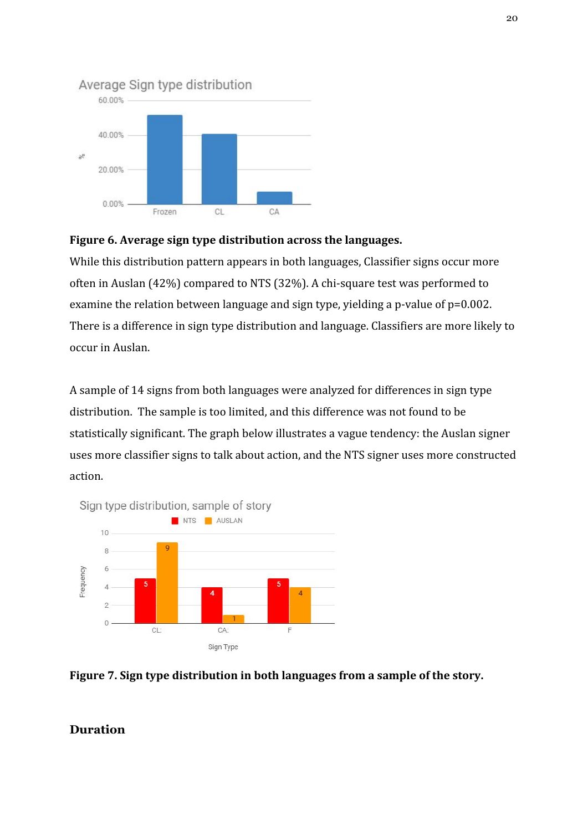

# Average Sign type distribution

# **Figure 6. Average sign type distribution across the languages.**

While this distribution pattern appears in both languages, Classifier signs occur more often in Auslan (42%) compared to NTS (32%). A chi-square test was performed to examine the relation between language and sign type, yielding a p-value of p=0.002. There is a difference in sign type distribution and language. Classifiers are more likely to occur in Auslan.

A sample of 14 signs from both languages were analyzed for differences in sign type distribution. The sample is too limited, and this difference was not found to be statistically significant. The graph below illustrates a vague tendency: the Auslan signer uses more classifier signs to talk about action, and the NTS signer uses more constructed action.





# <span id="page-20-0"></span>**Duration**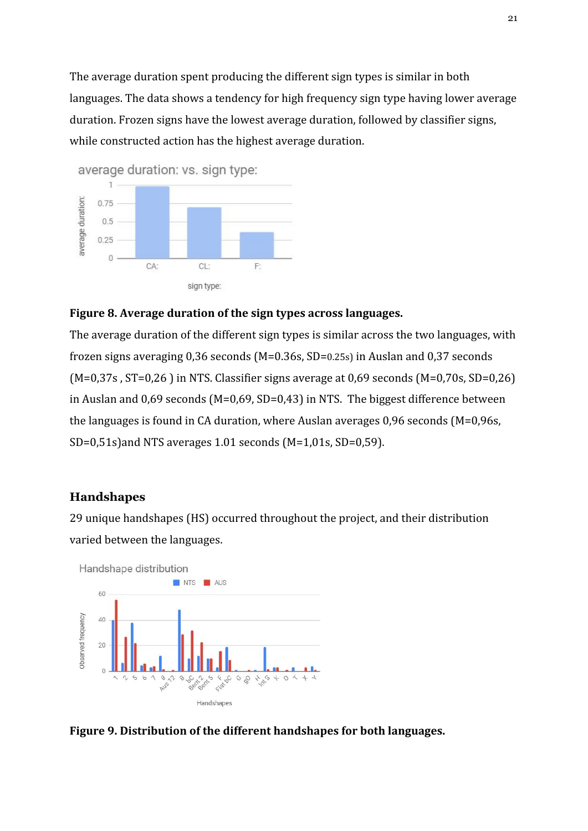The average duration spent producing the different sign types is similar in both languages. The data shows a tendency for high frequency sign type having lower average duration. Frozen signs have the lowest average duration, followed by classifier signs, while constructed action has the highest average duration.



# **Figure 8. Average duration of the sign types across languages.**

The average duration of the different sign types is similar across the two languages, with frozen signs averaging 0,36 seconds (M=0.36s, SD=0.25s) in Auslan and 0,37 seconds  $(M=0,37s, ST=0,26)$  in NTS. Classifier signs average at 0,69 seconds  $(M=0,70s, SD=0,26)$ in Auslan and 0,69 seconds (M=0,69, SD=0,43) in NTS. The biggest difference between the languages is found in CA duration, where Auslan averages 0,96 seconds (M=0,96s, SD=0,51s)and NTS averages 1.01 seconds (M=1,01s, SD=0,59).

## <span id="page-21-0"></span>**Handshapes**

29 unique handshapes (HS) occurred throughout the project, and their distribution varied between the languages.



**Figure 9. Distribution of the different handshapes for both languages.**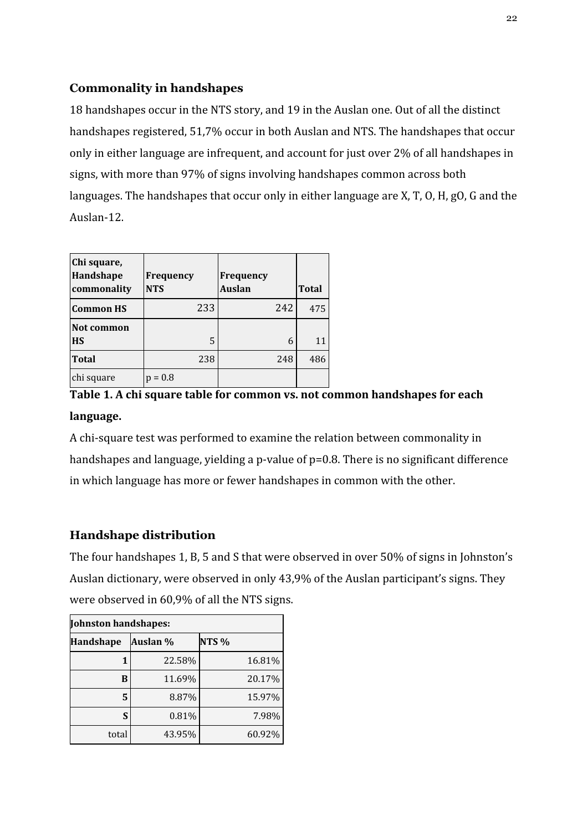# <span id="page-22-0"></span>**Commonality in handshapes**

18 handshapes occur in the NTS story, and 19 in the Auslan one. Out of all the distinct handshapes registered, 51,7% occur in both Auslan and NTS. The handshapes that occur only in either language are infrequent, and account for just over 2% of all handshapes in signs, with more than 97% of signs involving handshapes common across both languages. The handshapes that occur only in either language are X, T, O, H, gO, G and the Auslan-12.

| Chi square,<br>Handshape<br>commonality | Frequency<br><b>NTS</b> | <b>Frequency</b><br><b>Auslan</b> | <b>Total</b> |
|-----------------------------------------|-------------------------|-----------------------------------|--------------|
| <b>Common HS</b>                        | 233                     | 242                               | 475          |
| Not common<br><b>HS</b>                 | 5                       | 6                                 | 11           |
| <b>Total</b>                            | 238                     | 248                               | 486          |
| chi square                              | $p = 0.8$               |                                   |              |

**Table 1. A chi square table for common vs. not common handshapes for each language.**

A chi-square test was performed to examine the relation between commonality in handshapes and language, yielding a p-value of  $p=0.8$ . There is no significant difference in which language has more or fewer handshapes in common with the other.

# <span id="page-22-1"></span>**Handshape distribution**

The four handshapes 1, B, 5 and S that were observed in over 50% of signs in Johnston's Auslan dictionary, were observed in only 43,9% of the Auslan participant's signs. They were observed in 60,9% of all the NTS signs.

| Johnston handshapes: |          |                  |  |  |  |
|----------------------|----------|------------------|--|--|--|
| <b>Handshape</b>     | Auslan % | NTS <sub>%</sub> |  |  |  |
|                      | 22.58%   | 16.81%           |  |  |  |
| в                    | 11.69%   | 20.17%           |  |  |  |
| 5                    | 8.87%    | 15.97%           |  |  |  |
| S                    | 0.81%    | 7.98%            |  |  |  |
| total                | 43.95%   | 60.92%           |  |  |  |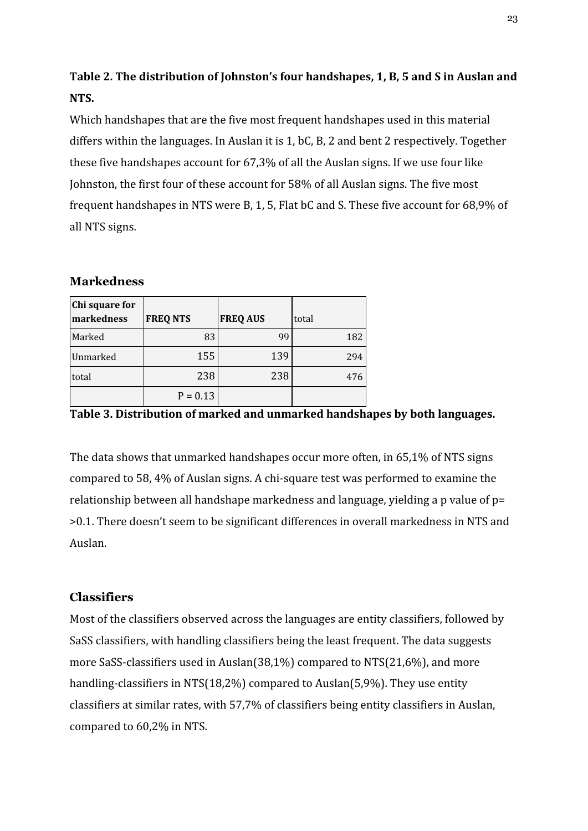# **Table 2. The distribution of Johnston's four handshapes, 1, B, 5 and S in Auslan and NTS.**

Which handshapes that are the five most frequent handshapes used in this material differs within the languages. In Auslan it is 1, bC, B, 2 and bent 2 respectively. Together these five handshapes account for 67,3% of all the Auslan signs. If we use four like Johnston, the first four of these account for 58% of all Auslan signs. The five most frequent handshapes in NTS were B, 1, 5, Flat bC and S. These five account for 68,9% of all NTS signs.

# <span id="page-23-0"></span>**Markedness**

| Chi square for<br>markedness | <b>FREQ NTS</b> | <b>FREQ AUS</b> | total |
|------------------------------|-----------------|-----------------|-------|
| Marked                       | 83              | 99              | 182   |
| Unmarked                     | 155             | 139             | 294   |
| total                        | 238             | 238             | 476   |
|                              | $P = 0.13$      |                 |       |

**Table 3. Distribution of marked and unmarked handshapes by both languages.**

The data shows that unmarked handshapes occur more often, in 65,1% of NTS signs compared to 58, 4% of Auslan signs. A chi-square test was performed to examine the relationship between all handshape markedness and language, yielding a p value of p= >0.1. There doesn't seem to be significant differences in overall markedness in NTS and Auslan.

# <span id="page-23-1"></span>**Classifiers**

Most of the classifiers observed across the languages are entity classifiers, followed by SaSS classifiers, with handling classifiers being the least frequent. The data suggests more SaSS-classifiers used in Auslan(38,1%) compared to NTS(21,6%), and more handling-classifiers in NTS(18,2%) compared to Auslan(5,9%). They use entity classifiers at similar rates, with 57,7% of classifiers being entity classifiers in Auslan, compared to 60,2% in NTS.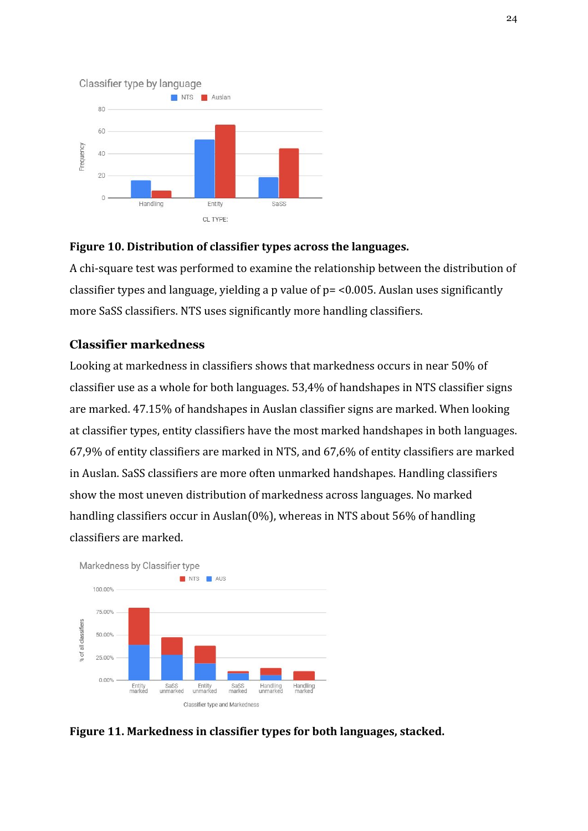

# **Figure 10. Distribution of classifier types across the languages.**

A chi-square test was performed to examine the relationship between the distribution of classifier types and language, yielding a p value of p= <0.005. Auslan uses significantly more SaSS classifiers. NTS uses significantly more handling classifiers.

# <span id="page-24-0"></span>**Classifier markedness**

Looking at markedness in classifiers shows that markedness occurs in near 50% of classifier use as a whole for both languages. 53,4% of handshapes in NTS classifier signs are marked. 47.15% of handshapes in Auslan classifier signs are marked. When looking at classifier types, entity classifiers have the most marked handshapes in both languages. 67,9% of entity classifiers are marked in NTS, and 67,6% of entity classifiers are marked in Auslan. SaSS classifiers are more often unmarked handshapes. Handling classifiers show the most uneven distribution of markedness across languages. No marked handling classifiers occur in Auslan(0%), whereas in NTS about 56% of handling classifiers are marked.



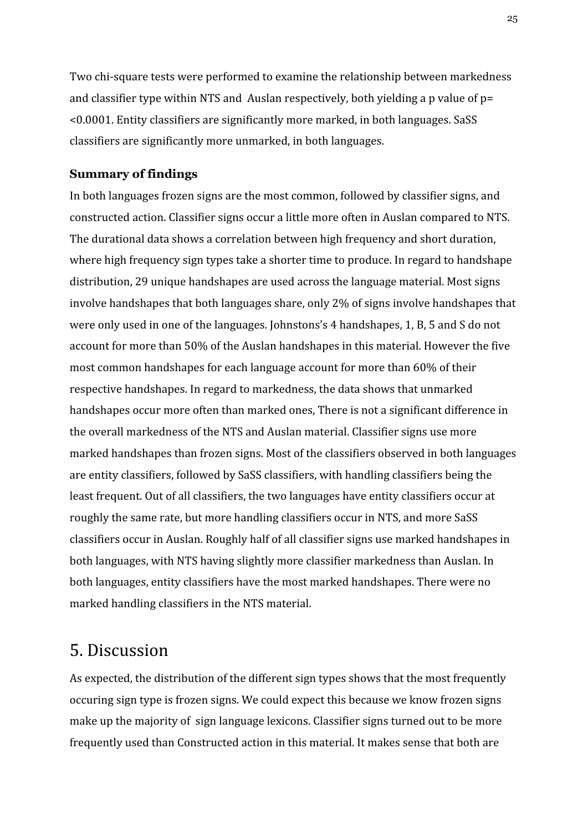Two chi-square tests were performed to examine the relationship between markedness and classifier type within NTS and Auslan respectively, both yielding a p value of p= <0.0001. Entity classifiers are significantly more marked, in both languages. SaSS classifiers are significantly more unmarked, in both languages.

# <span id="page-25-0"></span>**Summary of findings**

In both languages frozen signs are the most common, followed by classifier signs, and constructed action. Classifier signs occur a little more often in Auslan compared to NTS. The durational data shows a correlation between high frequency and short duration, where high frequency sign types take a shorter time to produce. In regard to handshape distribution, 29 unique handshapes are used across the language material. Most signs involve handshapes that both languages share, only 2% of signs involve handshapes that were only used in one of the languages. Johnstons's 4 handshapes, 1, B, 5 and S do not account for more than 50% of the Auslan handshapes in this material. However the five most common handshapes for each language account for more than 60% of their respective handshapes. In regard to markedness, the data shows that unmarked handshapes occur more often than marked ones, There is not a significant difference in the overall markedness of the NTS and Auslan material. Classifier signs use more marked handshapes than frozen signs. Most of the classifiers observed in both languages are entity classifiers, followed by SaSS classifiers, with handling classifiers being the least frequent. Out of all classifiers, the two languages have entity classifiers occur at roughly the same rate, but more handling classifiers occur in NTS, and more SaSS classifiers occur in Auslan. Roughly half of all classifier signs use marked handshapes in both languages, with NTS having slightly more classifier markedness than Auslan. In both languages, entity classifiers have the most marked handshapes. There were no marked handling classifiers in the NTS material.

# <span id="page-25-1"></span>5. Discussion

As expected, the distribution of the different sign types shows that the most frequently occuring sign type is frozen signs. We could expect this because we know frozen signs make up the majority of sign language lexicons. Classifier signs turned out to be more frequently used than Constructed action in this material. It makes sense that both are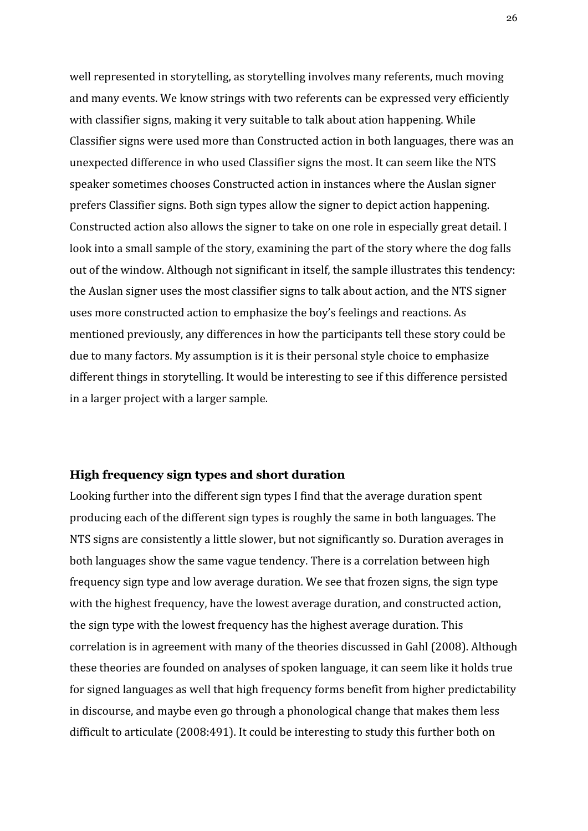well represented in storytelling, as storytelling involves many referents, much moving and many events. We know strings with two referents can be expressed very efficiently with classifier signs, making it very suitable to talk about ation happening. While Classifier signs were used more than Constructed action in both languages, there was an unexpected difference in who used Classifier signs the most. It can seem like the NTS speaker sometimes chooses Constructed action in instances where the Auslan signer prefers Classifier signs. Both sign types allow the signer to depict action happening. Constructed action also allows the signer to take on one role in especially great detail. I look into a small sample of the story, examining the part of the story where the dog falls out of the window. Although not significant in itself, the sample illustrates this tendency: the Auslan signer uses the most classifier signs to talk about action, and the NTS signer uses more constructed action to emphasize the boy's feelings and reactions. As mentioned previously, any differences in how the participants tell these story could be due to many factors. My assumption is it is their personal style choice to emphasize different things in storytelling. It would be interesting to see if this difference persisted in a larger project with a larger sample.

# <span id="page-26-0"></span>**High frequency sign types and short duration**

Looking further into the different sign types I find that the average duration spent producing each of the different sign types is roughly the same in both languages. The NTS signs are consistently a little slower, but not significantly so. Duration averages in both languages show the same vague tendency. There is a correlation between high frequency sign type and low average duration. We see that frozen signs, the sign type with the highest frequency, have the lowest average duration, and constructed action, the sign type with the lowest frequency has the highest average duration. This correlation is in agreement with many of the theories discussed in Gahl (2008). Although these theories are founded on analyses of spoken language, it can seem like it holds true for signed languages as well that high frequency forms benefit from higher predictability in discourse, and maybe even go through a phonological change that makes them less difficult to articulate (2008:491). It could be interesting to study this further both on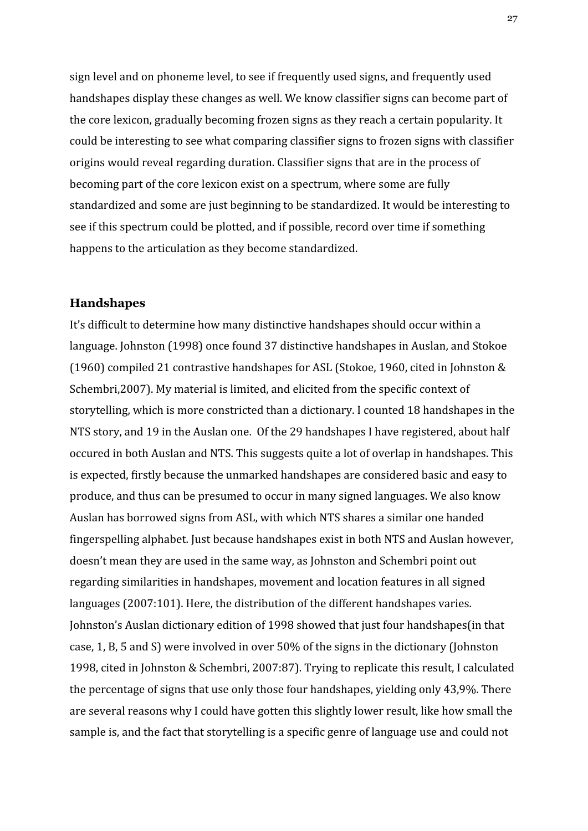sign level and on phoneme level, to see if frequently used signs, and frequently used handshapes display these changes as well. We know classifier signs can become part of the core lexicon, gradually becoming frozen signs as they reach a certain popularity. It could be interesting to see what comparing classifier signs to frozen signs with classifier origins would reveal regarding duration. Classifier signs that are in the process of becoming part of the core lexicon exist on a spectrum, where some are fully standardized and some are just beginning to be standardized. It would be interesting to see if this spectrum could be plotted, and if possible, record over time if something happens to the articulation as they become standardized.

# <span id="page-27-0"></span>**Handshapes**

It's difficult to determine how many distinctive handshapes should occur within a language. Johnston (1998) once found 37 distinctive handshapes in Auslan, and Stokoe (1960) compiled 21 contrastive handshapes for ASL (Stokoe, 1960, cited in Johnston & Schembri,2007). My material is limited, and elicited from the specific context of storytelling, which is more constricted than a dictionary. I counted 18 handshapes in the NTS story, and 19 in the Auslan one. Of the 29 handshapes I have registered, about half occured in both Auslan and NTS. This suggests quite a lot of overlap in handshapes. This is expected, firstly because the unmarked handshapes are considered basic and easy to produce, and thus can be presumed to occur in many signed languages. We also know Auslan has borrowed signs from ASL, with which NTS shares a similar one handed fingerspelling alphabet. Just because handshapes exist in both NTS and Auslan however, doesn't mean they are used in the same way, as Johnston and Schembri point out regarding similarities in handshapes, movement and location features in all signed languages (2007:101). Here, the distribution of the different handshapes varies. Johnston's Auslan dictionary edition of 1998 showed that just four handshapes(in that case, 1, B, 5 and S) were involved in over 50% of the signs in the dictionary (Johnston 1998, cited in Johnston & Schembri, 2007:87). Trying to replicate this result, I calculated the percentage of signs that use only those four handshapes, yielding only 43,9%. There are several reasons why I could have gotten this slightly lower result, like how small the sample is, and the fact that storytelling is a specific genre of language use and could not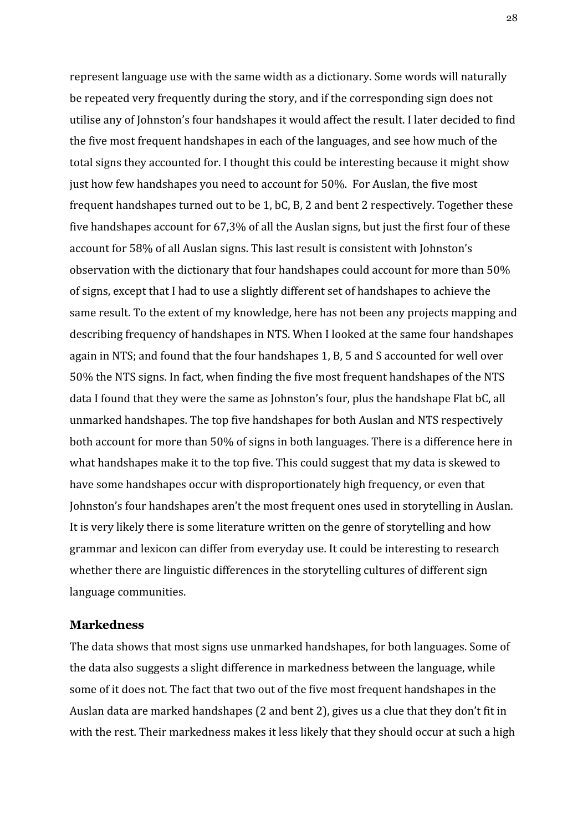represent language use with the same width as a dictionary. Some words will naturally be repeated very frequently during the story, and if the corresponding sign does not utilise any of Johnston's four handshapes it would affect the result. I later decided to find the five most frequent handshapes in each of the languages, and see how much of the total signs they accounted for. I thought this could be interesting because it might show just how few handshapes you need to account for 50%. For Auslan, the five most frequent handshapes turned out to be 1, bC, B, 2 and bent 2 respectively. Together these five handshapes account for 67,3% of all the Auslan signs, but just the first four of these account for 58% of all Auslan signs. This last result is consistent with Johnston's observation with the dictionary that four handshapes could account for more than 50% of signs, except that I had to use a slightly different set of handshapes to achieve the same result. To the extent of my knowledge, here has not been any projects mapping and describing frequency of handshapes in NTS. When I looked at the same four handshapes again in NTS; and found that the four handshapes 1, B, 5 and S accounted for well over 50% the NTS signs. In fact, when finding the five most frequent handshapes of the NTS data I found that they were the same as Johnston's four, plus the handshape Flat bC, all unmarked handshapes. The top five handshapes for both Auslan and NTS respectively both account for more than 50% of signs in both languages. There is a difference here in what handshapes make it to the top five. This could suggest that my data is skewed to have some handshapes occur with disproportionately high frequency, or even that Johnston's four handshapes aren't the most frequent ones used in storytelling in Auslan. It is very likely there is some literature written on the genre of storytelling and how grammar and lexicon can differ from everyday use. It could be interesting to research whether there are linguistic differences in the storytelling cultures of different sign language communities.

# <span id="page-28-0"></span>**Markedness**

The data shows that most signs use unmarked handshapes, for both languages. Some of the data also suggests a slight difference in markedness between the language, while some of it does not. The fact that two out of the five most frequent handshapes in the Auslan data are marked handshapes (2 and bent 2), gives us a clue that they don't fit in with the rest. Their markedness makes it less likely that they should occur at such a high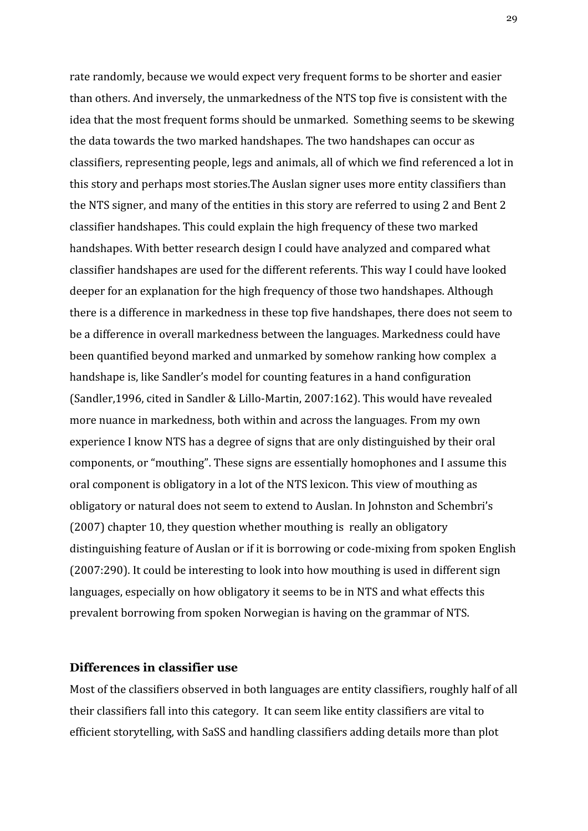rate randomly, because we would expect very frequent forms to be shorter and easier than others. And inversely, the unmarkedness of the NTS top five is consistent with the idea that the most frequent forms should be unmarked. Something seems to be skewing the data towards the two marked handshapes. The two handshapes can occur as classifiers, representing people, legs and animals, all of which we find referenced a lot in this story and perhaps most stories.The Auslan signer uses more entity classifiers than the NTS signer, and many of the entities in this story are referred to using 2 and Bent 2 classifier handshapes. This could explain the high frequency of these two marked handshapes. With better research design I could have analyzed and compared what classifier handshapes are used for the different referents. This way I could have looked deeper for an explanation for the high frequency of those two handshapes. Although there is a difference in markedness in these top five handshapes, there does not seem to be a difference in overall markedness between the languages. Markedness could have been quantified beyond marked and unmarked by somehow ranking how complex a handshape is, like Sandler's model for counting features in a hand configuration (Sandler,1996, cited in Sandler & Lillo-Martin, 2007:162). This would have revealed more nuance in markedness, both within and across the languages. From my own experience I know NTS has a degree of signs that are only distinguished by their oral components, or "mouthing". These signs are essentially homophones and I assume this oral component is obligatory in a lot of the NTS lexicon. This view of mouthing as obligatory or natural does not seem to extend to Auslan. In Johnston and Schembri's (2007) chapter 10, they question whether mouthing is really an obligatory distinguishing feature of Auslan or if it is borrowing or code-mixing from spoken English (2007:290). It could be interesting to look into how mouthing is used in different sign languages, especially on how obligatory it seems to be in NTS and what effects this prevalent borrowing from spoken Norwegian is having on the grammar of NTS.

# <span id="page-29-0"></span>**Differences in classifier use**

Most of the classifiers observed in both languages are entity classifiers, roughly half of all their classifiers fall into this category. It can seem like entity classifiers are vital to efficient storytelling, with SaSS and handling classifiers adding details more than plot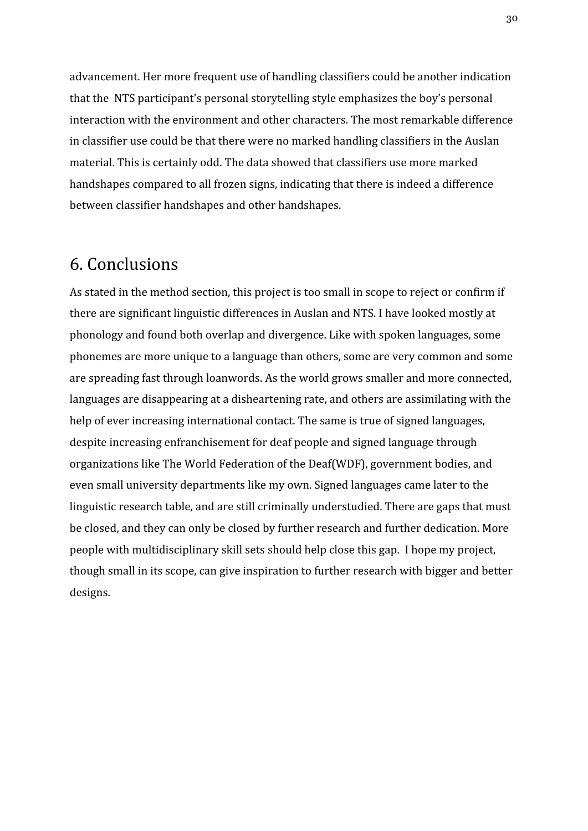advancement. Her more frequent use of handling classifiers could be another indication that the NTS participant's personal storytelling style emphasizes the boy's personal interaction with the environment and other characters. The most remarkable difference in classifier use could be that there were no marked handling classifiers in the Auslan material. This is certainly odd. The data showed that classifiers use more marked handshapes compared to all frozen signs, indicating that there is indeed a difference between classifier handshapes and other handshapes.

# <span id="page-30-0"></span>6. Conclusions

As stated in the method section, this project is too small in scope to reject or confirm if there are significant linguistic differences in Auslan and NTS. I have looked mostly at phonology and found both overlap and divergence. Like with spoken languages, some phonemes are more unique to a language than others, some are very common and some are spreading fast through loanwords. As the world grows smaller and more connected, languages are disappearing at a disheartening rate, and others are assimilating with the help of ever increasing international contact. The same is true of signed languages, despite increasing enfranchisement for deaf people and signed language through organizations like The World Federation of the Deaf(WDF), government bodies, and even small university departments like my own. Signed languages came later to the linguistic research table, and are still criminally understudied. There are gaps that must be closed, and they can only be closed by further research and further dedication. More people with multidisciplinary skill sets should help close this gap. I hope my project, though small in its scope, can give inspiration to further research with bigger and better designs.